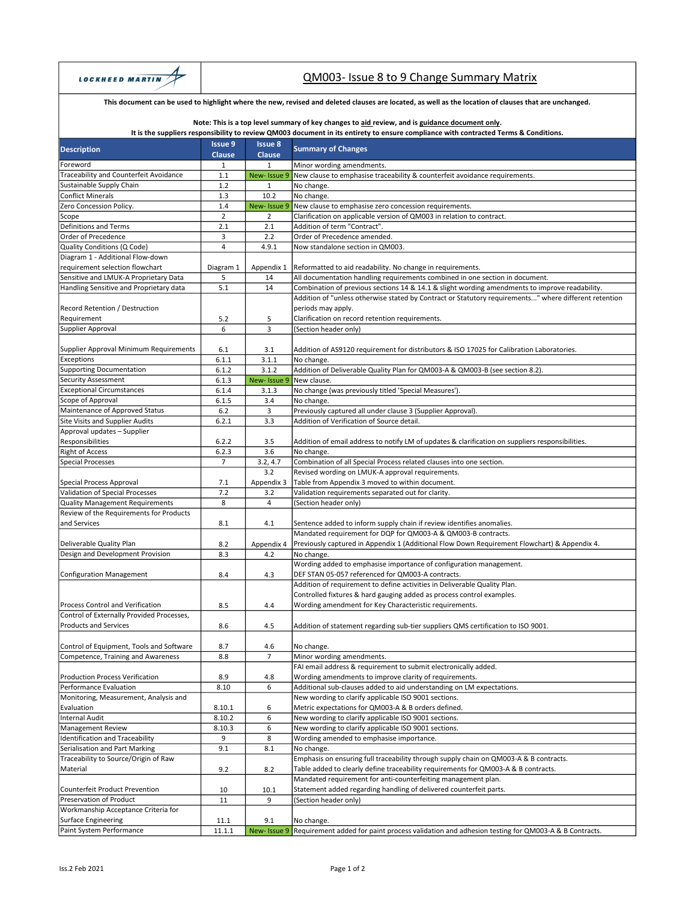

# QM003- Issue 8 to 9 Change Summary Matrix

### This document can be used to highlight where the new, revised and deleted clauses are located, as well as the location of clauses that are unchanged.

#### Note: This is a top level summary of key changes to aid review, and is guidance document only.

### It is the suppliers responsibility to review QM003 document in its entirety to ensure compliance with contracted Terms & Conditions.

|                                           | <b>Issue 9</b> | <b>Issue 8</b> |                                                                                                       |
|-------------------------------------------|----------------|----------------|-------------------------------------------------------------------------------------------------------|
| <b>Description</b>                        | <b>Clause</b>  | <b>Clause</b>  | <b>Summary of Changes</b>                                                                             |
| Foreword                                  | 1              | $\mathbf{1}$   | Minor wording amendments.                                                                             |
| Traceability and Counterfeit Avoidance    | 1.1            | New-Issue 9    | New clause to emphasise traceability & counterfeit avoidance requirements.                            |
| Sustainable Supply Chain                  | 1.2            | $\mathbf{1}$   | No change.                                                                                            |
| <b>Conflict Minerals</b>                  | 1.3            | 10.2           | No change.                                                                                            |
| Zero Concession Policy.                   | 1.4            | New-Issue 9    | New clause to emphasise zero concession requirements.                                                 |
| Scope                                     | $\mathbf 2$    | 2              | Clarification on applicable version of QM003 in relation to contract.                                 |
| Definitions and Terms                     | 2.1            | 2.1            | Addition of term "Contract".                                                                          |
| Order of Precedence                       | 3              | 2.2            | Order of Precedence amended.                                                                          |
| Quality Conditions (Q Code)               | 4              | 4.9.1          | Now standalone section in QM003.                                                                      |
| Diagram 1 - Additional Flow-down          |                |                |                                                                                                       |
| requirement selection flowchart           |                | Appendix 1     |                                                                                                       |
| Sensitive and LMUK-A Proprietary Data     | Diagram 1<br>5 |                | Reformatted to aid readability. No change in requirements.                                            |
|                                           | 5.1            | 14<br>14       | All documentation handling requirements combined in one section in document.                          |
| Handling Sensitive and Proprietary data   |                |                | Combination of previous sections 14 & 14.1 & slight wording amendments to improve readability.        |
|                                           |                |                | Addition of "unless otherwise stated by Contract or Statutory requirements" where different retention |
| Record Retention / Destruction            |                |                | periods may apply.                                                                                    |
| Requirement                               | 5.2            | 5              | Clarification on record retention requirements.                                                       |
| Supplier Approval                         | 6              | 3              | (Section header only)                                                                                 |
|                                           |                |                |                                                                                                       |
| Supplier Approval Minimum Requirements    | 6.1            | 3.1            | Addition of AS9120 requirement for distributors & ISO 17025 for Calibration Laboratories.             |
| Exceptions                                | 6.1.1          | 3.1.1          | No change.                                                                                            |
| <b>Supporting Documentation</b>           | 6.1.2          | 3.1.2          | Addition of Deliverable Quality Plan for QM003-A & QM003-B (see section 8.2).                         |
| <b>Security Assessment</b>                | 6.1.3          | New-Issue 9    | New clause.                                                                                           |
| <b>Exceptional Circumstances</b>          | 6.1.4          | 3.1.3          | No change (was previously titled 'Special Measures').                                                 |
| Scope of Approval                         | 6.1.5          | 3.4            | No change.                                                                                            |
| Maintenance of Approved Status            | $6.2$          | 3              | Previously captured all under clause 3 (Supplier Approval).                                           |
| <b>Site Visits and Supplier Audits</b>    | 6.2.1          | 3.3            | Addition of Verification of Source detail.                                                            |
| Approval updates - Supplier               |                |                |                                                                                                       |
| Responsibilities                          | 6.2.2          | 3.5            | Addition of email address to notify LM of updates & clarification on suppliers responsibilities.      |
| <b>Right of Access</b>                    | 6.2.3          | 3.6            | No change.                                                                                            |
| <b>Special Processes</b>                  | $\overline{7}$ | 3.2, 4.7       | Combination of all Special Process related clauses into one section.                                  |
|                                           |                | $3.2\,$        | Revised wording on LMUK-A approval requirements.                                                      |
| Special Process Approval                  | 7.1            | Appendix 3     | Table from Appendix 3 moved to within document.                                                       |
| Validation of Special Processes           | 7.2            | 3.2            | Validation requirements separated out for clarity.                                                    |
| <b>Quality Management Requirements</b>    | 8              | $\overline{4}$ | (Section header only)                                                                                 |
| Review of the Requirements for Products   |                |                |                                                                                                       |
| and Services                              | 8.1            | 4.1            | Sentence added to inform supply chain if review identifies anomalies.                                 |
|                                           |                |                | Mandated requirement for DQP for QM003-A & QM003-B contracts.                                         |
| Deliverable Quality Plan                  | 8.2            | Appendix 4     | Previously captured in Appendix 1 (Additional Flow Down Requirement Flowchart) & Appendix 4.          |
| Design and Development Provision          | 8.3            | 4.2            | No change.                                                                                            |
|                                           |                |                | Wording added to emphasise importance of configuration management.                                    |
| Configuration Management                  | 8.4            | 4.3            | DEF STAN 05-057 referenced for QM003-A contracts.                                                     |
|                                           |                |                | Addition of requirement to define activities in Deliverable Quality Plan.                             |
|                                           |                |                | Controlled fixtures & hard gauging added as process control examples.                                 |
| Process Control and Verification          | 8.5            | 4.4            | Wording amendment for Key Characteristic requirements.                                                |
| Control of Externally Provided Processes, |                |                |                                                                                                       |
| <b>Products and Services</b>              | 8.6            | 4.5            |                                                                                                       |
|                                           |                |                | Addition of statement regarding sub-tier suppliers QMS certification to ISO 9001.                     |
|                                           |                |                |                                                                                                       |
| Control of Equipment, Tools and Software  | 8.7            | 4.6            | No change.                                                                                            |
| Competence, Training and Awareness        | 8.8            | 7              | Minor wording amendments.                                                                             |
|                                           |                |                | FAI email address & requirement to submit electronically added.                                       |
| <b>Production Process Verification</b>    | 8.9            | 4.8            | Wording amendments to improve clarity of requirements.                                                |
| Performance Evaluation                    | 8.10           | 6              | Additional sub-clauses added to aid understanding on LM expectations.                                 |
| Monitoring, Measurement, Analysis and     |                |                | New wording to clarify applicable ISO 9001 sections.                                                  |
| Evaluation                                | 8.10.1         | 6              | Metric expectations for QM003-A & B orders defined.                                                   |
| <b>Internal Audit</b>                     | 8.10.2         | 6              | New wording to clarify applicable ISO 9001 sections.                                                  |
| <b>Management Review</b>                  | 8.10.3         | 6              | New wording to clarify applicable ISO 9001 sections.                                                  |
| Identification and Traceability           | 9              | 8              | Wording amended to emphasise importance.                                                              |
| Serialisation and Part Marking            | 9.1            | 8.1            | No change.                                                                                            |
| Traceability to Source/Origin of Raw      |                |                | Emphasis on ensuring full traceability through supply chain on QM003-A & B contracts.                 |
| Material                                  | 9.2            | 8.2            | Table added to clearly define traceability requirements for QM003-A & B contracts.                    |
|                                           |                |                | Mandated requirement for anti-counterfeiting management plan.                                         |
| Counterfeit Product Prevention            | 10             | 10.1           | Statement added regarding handling of delivered counterfeit parts.                                    |
| Preservation of Product                   | 11             | 9              | (Section header only)                                                                                 |
| Workmanship Acceptance Criteria for       |                |                |                                                                                                       |
| <b>Surface Engineering</b>                | 11.1           | 9.1            | No change.                                                                                            |
| Paint System Performance                  | 11.1.1         | New-Issue 9    | Requirement added for paint process validation and adhesion testing for QM003-A & B Contracts.        |